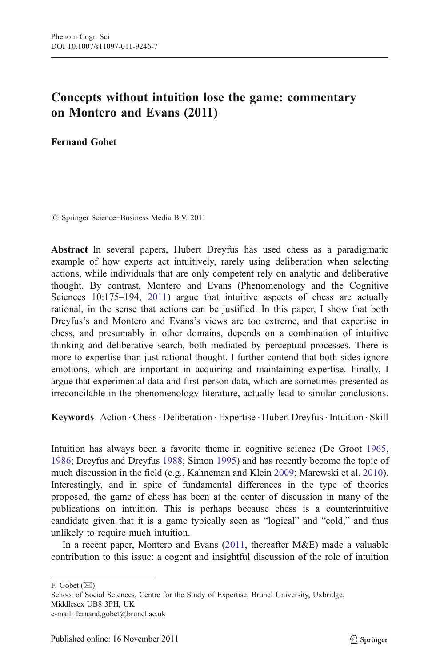# Concepts without intuition lose the game: commentary on Montero and Evans (2011)

Fernand Gobet

 $\oslash$  Springer Science+Business Media B.V. 2011

Abstract In several papers, Hubert Dreyfus has used chess as a paradigmatic example of how experts act intuitively, rarely using deliberation when selecting actions, while individuals that are only competent rely on analytic and deliberative thought. By contrast, Montero and Evans (Phenomenology and the Cognitive Sciences 10:175–194, [2011](#page-12-0)) argue that intuitive aspects of chess are actually rational, in the sense that actions can be justified. In this paper, I show that both Dreyfus's and Montero and Evans's views are too extreme, and that expertise in chess, and presumably in other domains, depends on a combination of intuitive thinking and deliberative search, both mediated by perceptual processes. There is more to expertise than just rational thought. I further contend that both sides ignore emotions, which are important in acquiring and maintaining expertise. Finally, I argue that experimental data and first-person data, which are sometimes presented as irreconcilable in the phenomenology literature, actually lead to similar conclusions.

Keywords Action . Chess. Deliberation . Expertise . Hubert Dreyfus . Intuition . Skill

Intuition has always been a favorite theme in cognitive science (De Groot [1965,](#page-11-0) [1986;](#page-11-0) Dreyfus and Dreyfus [1988](#page-11-0); Simon [1995](#page-12-0)) and has recently become the topic of much discussion in the field (e.g., Kahneman and Klein [2009;](#page-12-0) Marewski et al. [2010\)](#page-12-0). Interestingly, and in spite of fundamental differences in the type of theories proposed, the game of chess has been at the center of discussion in many of the publications on intuition. This is perhaps because chess is a counterintuitive candidate given that it is a game typically seen as "logical" and "cold," and thus unlikely to require much intuition.

In a recent paper, Montero and Evans ([2011,](#page-12-0) thereafter M&E) made a valuable contribution to this issue: a cogent and insightful discussion of the role of intuition

F. Gobet  $(\boxtimes)$ 

School of Social Sciences, Centre for the Study of Expertise, Brunel University, Uxbridge, Middlesex UB8 3PH, UK e-mail: fernand.gobet@brunel.ac.uk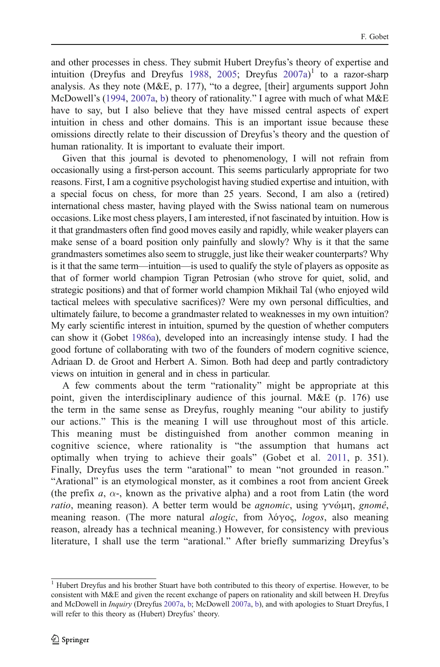and other processes in chess. They submit Hubert Dreyfus's theory of expertise and intuition (Dreyfus and Dreyfus [1988,](#page-11-0) [2005;](#page-11-0) Dreyfus [2007a](#page-11-0)) <sup>1</sup> to a razor-sharp analysis. As they note (M&E, p. 177), "to a degree, [their] arguments support John McDowell's ([1994,](#page-12-0) [2007a](#page-12-0), [b](#page-12-0)) theory of rationality." I agree with much of what M&E have to say, but I also believe that they have missed central aspects of expert intuition in chess and other domains. This is an important issue because these omissions directly relate to their discussion of Dreyfus's theory and the question of human rationality. It is important to evaluate their import.

Given that this journal is devoted to phenomenology, I will not refrain from occasionally using a first-person account. This seems particularly appropriate for two reasons. First, I am a cognitive psychologist having studied expertise and intuition, with a special focus on chess, for more than 25 years. Second, I am also a (retired) international chess master, having played with the Swiss national team on numerous occasions. Like most chess players, I am interested, if not fascinated by intuition. How is it that grandmasters often find good moves easily and rapidly, while weaker players can make sense of a board position only painfully and slowly? Why is it that the same grandmasters sometimes also seem to struggle, just like their weaker counterparts? Why is it that the same term—intuition—is used to qualify the style of players as opposite as that of former world champion Tigran Petrosian (who strove for quiet, solid, and strategic positions) and that of former world champion Mikhail Tal (who enjoyed wild tactical melees with speculative sacrifices)? Were my own personal difficulties, and ultimately failure, to become a grandmaster related to weaknesses in my own intuition? My early scientific interest in intuition, spurned by the question of whether computers can show it (Gobet [1986a](#page-11-0)), developed into an increasingly intense study. I had the good fortune of collaborating with two of the founders of modern cognitive science, Adriaan D. de Groot and Herbert A. Simon. Both had deep and partly contradictory views on intuition in general and in chess in particular.

A few comments about the term "rationality" might be appropriate at this point, given the interdisciplinary audience of this journal. M&E (p. 176) use the term in the same sense as Dreyfus, roughly meaning "our ability to justify our actions." This is the meaning I will use throughout most of this article. This meaning must be distinguished from another common meaning in cognitive science, where rationality is "the assumption that humans act optimally when trying to achieve their goals" (Gobet et al. [2011,](#page-12-0) p. 351). Finally, Dreyfus uses the term "arational" to mean "not grounded in reason." "Arational" is an etymological monster, as it combines a root from ancient Greek (the prefix a,  $\alpha$ -, known as the privative alpha) and a root from Latin (the word ratio, meaning reason). A better term would be *agnomic*, using γνώμη, gnomê, meaning reason. (The more natural *alogic*, from λόγος, logos, also meaning reason, already has a technical meaning.) However, for consistency with previous literature, I shall use the term "arational." After briefly summarizing Dreyfus's

<sup>&</sup>lt;sup>1</sup> Hubert Dreyfus and his brother Stuart have both contributed to this theory of expertise. However, to be consistent with M&E and given the recent exchange of papers on rationality and skill between H. Dreyfus and McDowell in Inquiry (Dreyfus [2007a](#page-11-0), [b](#page-11-0); McDowell [2007a,](#page-12-0) [b\)](#page-12-0), and with apologies to Stuart Dreyfus, I will refer to this theory as (Hubert) Dreyfus' theory.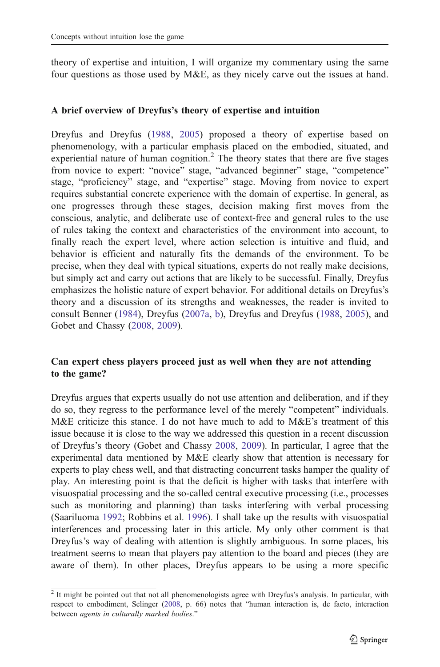theory of expertise and intuition, I will organize my commentary using the same four questions as those used by M&E, as they nicely carve out the issues at hand.

## A brief overview of Dreyfus's theory of expertise and intuition

Dreyfus and Dreyfus ([1988,](#page-11-0) [2005](#page-11-0)) proposed a theory of expertise based on phenomenology, with a particular emphasis placed on the embodied, situated, and experiential nature of human cognition.<sup>2</sup> The theory states that there are five stages from novice to expert: "novice" stage, "advanced beginner" stage, "competence" stage, "proficiency" stage, and "expertise" stage. Moving from novice to expert requires substantial concrete experience with the domain of expertise. In general, as one progresses through these stages, decision making first moves from the conscious, analytic, and deliberate use of context-free and general rules to the use of rules taking the context and characteristics of the environment into account, to finally reach the expert level, where action selection is intuitive and fluid, and behavior is efficient and naturally fits the demands of the environment. To be precise, when they deal with typical situations, experts do not really make decisions, but simply act and carry out actions that are likely to be successful. Finally, Dreyfus emphasizes the holistic nature of expert behavior. For additional details on Dreyfus's theory and a discussion of its strengths and weaknesses, the reader is invited to consult Benner ([1984\)](#page-10-0), Dreyfus ([2007a](#page-11-0), [b\)](#page-11-0), Dreyfus and Dreyfus ([1988](#page-11-0), [2005](#page-11-0)), and Gobet and Chassy [\(2008](#page-11-0), [2009](#page-11-0)).

## Can expert chess players proceed just as well when they are not attending to the game?

Dreyfus argues that experts usually do not use attention and deliberation, and if they do so, they regress to the performance level of the merely "competent" individuals. M&E criticize this stance. I do not have much to add to M&E's treatment of this issue because it is close to the way we addressed this question in a recent discussion of Dreyfus's theory (Gobet and Chassy [2008](#page-11-0), [2009](#page-11-0)). In particular, I agree that the experimental data mentioned by M&E clearly show that attention is necessary for experts to play chess well, and that distracting concurrent tasks hamper the quality of play. An interesting point is that the deficit is higher with tasks that interfere with visuospatial processing and the so-called central executive processing (i.e., processes such as monitoring and planning) than tasks interfering with verbal processing (Saariluoma [1992](#page-12-0); Robbins et al. [1996](#page-12-0)). I shall take up the results with visuospatial interferences and processing later in this article. My only other comment is that Dreyfus's way of dealing with attention is slightly ambiguous. In some places, his treatment seems to mean that players pay attention to the board and pieces (they are aware of them). In other places, Dreyfus appears to be using a more specific

 $\frac{1}{2}$  It might be pointed out that not all phenomenologists agree with Dreyfus's analysis. In particular, with respect to embodiment, Selinger [\(2008](#page-12-0), p. 66) notes that "human interaction is, de facto, interaction between agents in culturally marked bodies."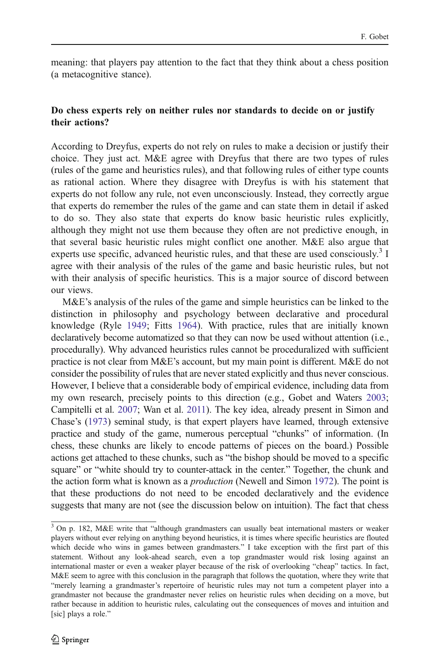meaning: that players pay attention to the fact that they think about a chess position (a metacognitive stance).

## Do chess experts rely on neither rules nor standards to decide on or justify their actions?

According to Dreyfus, experts do not rely on rules to make a decision or justify their choice. They just act. M&E agree with Dreyfus that there are two types of rules (rules of the game and heuristics rules), and that following rules of either type counts as rational action. Where they disagree with Dreyfus is with his statement that experts do not follow any rule, not even unconsciously. Instead, they correctly argue that experts do remember the rules of the game and can state them in detail if asked to do so. They also state that experts do know basic heuristic rules explicitly, although they might not use them because they often are not predictive enough, in that several basic heuristic rules might conflict one another. M&E also argue that experts use specific, advanced heuristic rules, and that these are used consciously.<sup>3</sup> I agree with their analysis of the rules of the game and basic heuristic rules, but not with their analysis of specific heuristics. This is a major source of discord between our views.

M&E's analysis of the rules of the game and simple heuristics can be linked to the distinction in philosophy and psychology between declarative and procedural knowledge (Ryle [1949;](#page-12-0) Fitts [1964](#page-11-0)). With practice, rules that are initially known declaratively become automatized so that they can now be used without attention (i.e., procedurally). Why advanced heuristics rules cannot be proceduralized with sufficient practice is not clear from M&E's account, but my main point is different. M&E do not consider the possibility of rules that are never stated explicitly and thus never conscious. However, I believe that a considerable body of empirical evidence, including data from my own research, precisely points to this direction (e.g., Gobet and Waters [2003;](#page-12-0) Campitelli et al. [2007](#page-11-0); Wan et al. [2011\)](#page-13-0). The key idea, already present in Simon and Chase's ([1973](#page-12-0)) seminal study, is that expert players have learned, through extensive practice and study of the game, numerous perceptual "chunks" of information. (In chess, these chunks are likely to encode patterns of pieces on the board.) Possible actions get attached to these chunks, such as "the bishop should be moved to a specific square" or "white should try to counter-attack in the center." Together, the chunk and the action form what is known as a *production* (Newell and Simon [1972](#page-12-0)). The point is that these productions do not need to be encoded declaratively and the evidence suggests that many are not (see the discussion below on intuition). The fact that chess

<sup>&</sup>lt;sup>3</sup> On p. 182, M&E write that "although grandmasters can usually beat international masters or weaker players without ever relying on anything beyond heuristics, it is times where specific heuristics are flouted which decide who wins in games between grandmasters." I take exception with the first part of this statement. Without any look-ahead search, even a top grandmaster would risk losing against an international master or even a weaker player because of the risk of overlooking "cheap" tactics. In fact, M&E seem to agree with this conclusion in the paragraph that follows the quotation, where they write that "merely learning a grandmaster's repertoire of heuristic rules may not turn a competent player into a grandmaster not because the grandmaster never relies on heuristic rules when deciding on a move, but rather because in addition to heuristic rules, calculating out the consequences of moves and intuition and [sic] plays a role."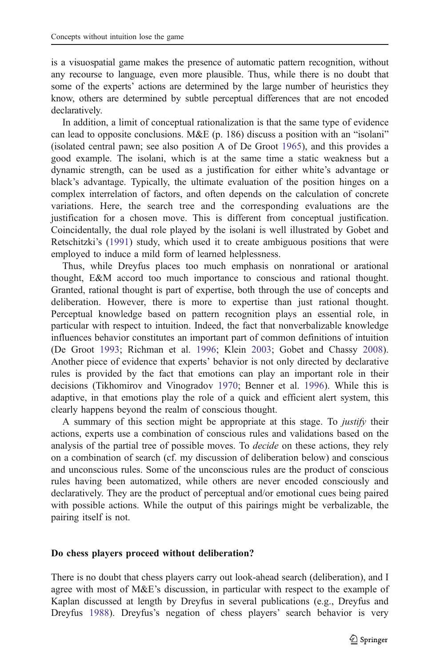is a visuospatial game makes the presence of automatic pattern recognition, without any recourse to language, even more plausible. Thus, while there is no doubt that some of the experts' actions are determined by the large number of heuristics they know, others are determined by subtle perceptual differences that are not encoded declaratively.

In addition, a limit of conceptual rationalization is that the same type of evidence can lead to opposite conclusions. M&E (p. 186) discuss a position with an "isolani" (isolated central pawn; see also position A of De Groot [1965](#page-11-0)), and this provides a good example. The isolani, which is at the same time a static weakness but a dynamic strength, can be used as a justification for either white's advantage or black's advantage. Typically, the ultimate evaluation of the position hinges on a complex interrelation of factors, and often depends on the calculation of concrete variations. Here, the search tree and the corresponding evaluations are the justification for a chosen move. This is different from conceptual justification. Coincidentally, the dual role played by the isolani is well illustrated by Gobet and Retschitzki's [\(1991](#page-11-0)) study, which used it to create ambiguous positions that were employed to induce a mild form of learned helplessness.

Thus, while Dreyfus places too much emphasis on nonrational or arational thought, E&M accord too much importance to conscious and rational thought. Granted, rational thought is part of expertise, both through the use of concepts and deliberation. However, there is more to expertise than just rational thought. Perceptual knowledge based on pattern recognition plays an essential role, in particular with respect to intuition. Indeed, the fact that nonverbalizable knowledge influences behavior constitutes an important part of common definitions of intuition (De Groot [1993;](#page-11-0) Richman et al. [1996;](#page-12-0) Klein [2003](#page-12-0); Gobet and Chassy [2008\)](#page-11-0). Another piece of evidence that experts' behavior is not only directed by declarative rules is provided by the fact that emotions can play an important role in their decisions (Tikhomirov and Vinogradov [1970;](#page-13-0) Benner et al. [1996\)](#page-10-0). While this is adaptive, in that emotions play the role of a quick and efficient alert system, this clearly happens beyond the realm of conscious thought.

A summary of this section might be appropriate at this stage. To justify their actions, experts use a combination of conscious rules and validations based on the analysis of the partial tree of possible moves. To decide on these actions, they rely on a combination of search (cf. my discussion of deliberation below) and conscious and unconscious rules. Some of the unconscious rules are the product of conscious rules having been automatized, while others are never encoded consciously and declaratively. They are the product of perceptual and/or emotional cues being paired with possible actions. While the output of this pairings might be verbalizable, the pairing itself is not.

### Do chess players proceed without deliberation?

There is no doubt that chess players carry out look-ahead search (deliberation), and I agree with most of M&E's discussion, in particular with respect to the example of Kaplan discussed at length by Dreyfus in several publications (e.g., Dreyfus and Dreyfus [1988](#page-11-0)). Dreyfus's negation of chess players' search behavior is very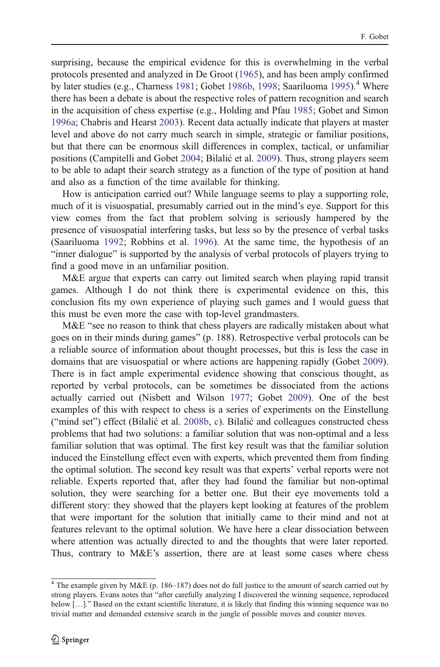surprising, because the empirical evidence for this is overwhelming in the verbal protocols presented and analyzed in De Groot [\(1965](#page-11-0)), and has been amply confirmed by later studies (e.g., Charness [1981](#page-11-0); Gobet [1986b](#page-11-0), [1998](#page-11-0); Saariluoma [1995\)](#page-12-0).<sup>4</sup> Where there has been a debate is about the respective roles of pattern recognition and search in the acquisition of chess expertise (e.g., Holding and Pfau [1985;](#page-12-0) Gobet and Simon [1996a](#page-11-0); Chabris and Hearst [2003](#page-11-0)). Recent data actually indicate that players at master level and above do not carry much search in simple, strategic or familiar positions, but that there can be enormous skill differences in complex, tactical, or unfamiliar positions (Campitelli and Gobet [2004;](#page-11-0) Bilalić et al. [2009](#page-11-0)). Thus, strong players seem to be able to adapt their search strategy as a function of the type of position at hand and also as a function of the time available for thinking.

How is anticipation carried out? While language seems to play a supporting role, much of it is visuospatial, presumably carried out in the mind's eye. Support for this view comes from the fact that problem solving is seriously hampered by the presence of visuospatial interfering tasks, but less so by the presence of verbal tasks (Saariluoma [1992](#page-12-0); Robbins et al. [1996](#page-12-0)). At the same time, the hypothesis of an "inner dialogue" is supported by the analysis of verbal protocols of players trying to find a good move in an unfamiliar position.

M&E argue that experts can carry out limited search when playing rapid transit games. Although I do not think there is experimental evidence on this, this conclusion fits my own experience of playing such games and I would guess that this must be even more the case with top-level grandmasters.

M&E "see no reason to think that chess players are radically mistaken about what goes on in their minds during games" (p. 188). Retrospective verbal protocols can be a reliable source of information about thought processes, but this is less the case in domains that are visuospatial or where actions are happening rapidly (Gobet [2009\)](#page-11-0). There is in fact ample experimental evidence showing that conscious thought, as reported by verbal protocols, can be sometimes be dissociated from the actions actually carried out (Nisbett and Wilson [1977;](#page-12-0) Gobet [2009\)](#page-11-0). One of the best examples of this with respect to chess is a series of experiments on the Einstellung ("mind set") effect (Bilalić et al. [2008b,](#page-10-0) [c](#page-11-0)). Bilalić and colleagues constructed chess problems that had two solutions: a familiar solution that was non-optimal and a less familiar solution that was optimal. The first key result was that the familiar solution induced the Einstellung effect even with experts, which prevented them from finding the optimal solution. The second key result was that experts' verbal reports were not reliable. Experts reported that, after they had found the familiar but non-optimal solution, they were searching for a better one. But their eye movements told a different story: they showed that the players kept looking at features of the problem that were important for the solution that initially came to their mind and not at features relevant to the optimal solution. We have here a clear dissociation between where attention was actually directed to and the thoughts that were later reported. Thus, contrary to M&E's assertion, there are at least some cases where chess

<sup>4</sup> The example given by M&E (p. 186–187) does not do full justice to the amount of search carried out by strong players. Evans notes that "after carefully analyzing I discovered the winning sequence, reproduced below […]." Based on the extant scientific literature, it is likely that finding this winning sequence was no trivial matter and demanded extensive search in the jungle of possible moves and counter moves.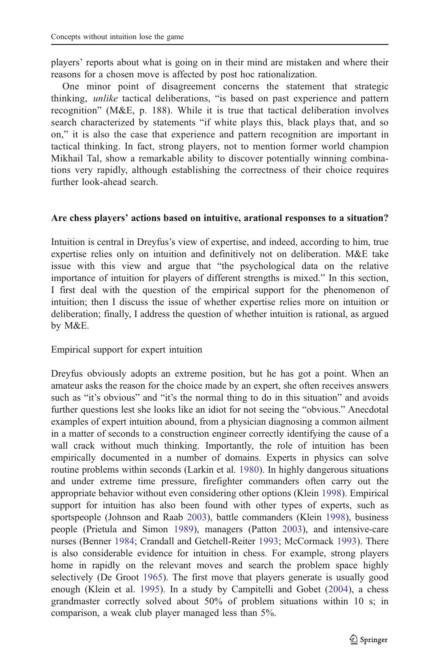players' reports about what is going on in their mind are mistaken and where their reasons for a chosen move is affected by post hoc rationalization.

One minor point of disagreement concerns the statement that strategic thinking, unlike tactical deliberations, "is based on past experience and pattern recognition" (M&E, p. 188). While it is true that tactical deliberation involves search characterized by statements "if white plays this, black plays that, and so on," it is also the case that experience and pattern recognition are important in tactical thinking. In fact, strong players, not to mention former world champion Mikhail Tal, show a remarkable ability to discover potentially winning combinations very rapidly, although establishing the correctness of their choice requires further look-ahead search.

### Are chess players' actions based on intuitive, arational responses to a situation?

Intuition is central in Dreyfus's view of expertise, and indeed, according to him, true expertise relies only on intuition and definitively not on deliberation. M&E take issue with this view and argue that "the psychological data on the relative importance of intuition for players of different strengths is mixed." In this section, I first deal with the question of the empirical support for the phenomenon of intuition; then I discuss the issue of whether expertise relies more on intuition or deliberation; finally, I address the question of whether intuition is rational, as argued by M&E.

Empirical support for expert intuition

Dreyfus obviously adopts an extreme position, but he has got a point. When an amateur asks the reason for the choice made by an expert, she often receives answers such as "it's obvious" and "it's the normal thing to do in this situation" and avoids further questions lest she looks like an idiot for not seeing the "obvious." Anecdotal examples of expert intuition abound, from a physician diagnosing a common ailment in a matter of seconds to a construction engineer correctly identifying the cause of a wall crack without much thinking. Importantly, the role of intuition has been empirically documented in a number of domains. Experts in physics can solve routine problems within seconds (Larkin et al. [1980\)](#page-12-0). In highly dangerous situations and under extreme time pressure, firefighter commanders often carry out the appropriate behavior without even considering other options (Klein [1998](#page-12-0)). Empirical support for intuition has also been found with other types of experts, such as sportspeople (Johnson and Raab [2003\)](#page-12-0), battle commanders (Klein [1998](#page-12-0)), business people (Prietula and Simon [1989](#page-12-0)), managers (Patton [2003](#page-12-0)), and intensive-care nurses (Benner [1984](#page-10-0); Crandall and Getchell-Reiter [1993](#page-11-0); McCormack [1993\)](#page-12-0). There is also considerable evidence for intuition in chess. For example, strong players home in rapidly on the relevant moves and search the problem space highly selectively (De Groot [1965\)](#page-11-0). The first move that players generate is usually good enough (Klein et al. [1995\)](#page-12-0). In a study by Campitelli and Gobet [\(2004](#page-11-0)), a chess grandmaster correctly solved about 50% of problem situations within 10 s; in comparison, a weak club player managed less than 5%.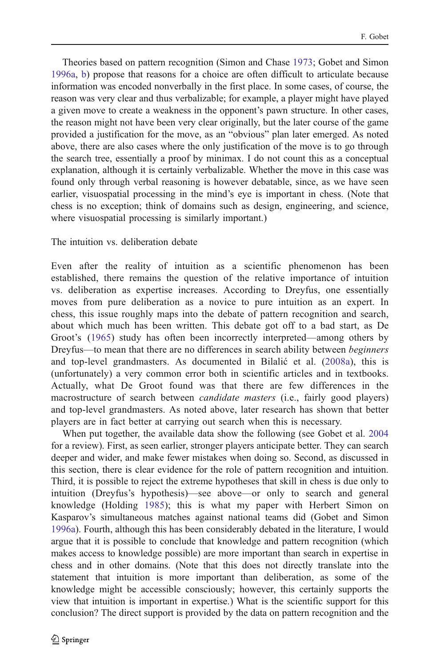Theories based on pattern recognition (Simon and Chase [1973;](#page-12-0) Gobet and Simon [1996a](#page-11-0), [b](#page-11-0)) propose that reasons for a choice are often difficult to articulate because information was encoded nonverbally in the first place. In some cases, of course, the reason was very clear and thus verbalizable; for example, a player might have played a given move to create a weakness in the opponent's pawn structure. In other cases, the reason might not have been very clear originally, but the later course of the game provided a justification for the move, as an "obvious" plan later emerged. As noted above, there are also cases where the only justification of the move is to go through the search tree, essentially a proof by minimax. I do not count this as a conceptual explanation, although it is certainly verbalizable. Whether the move in this case was found only through verbal reasoning is however debatable, since, as we have seen earlier, visuospatial processing in the mind's eye is important in chess. (Note that chess is no exception; think of domains such as design, engineering, and science, where visuospatial processing is similarly important.)

### The intuition vs. deliberation debate

Even after the reality of intuition as a scientific phenomenon has been established, there remains the question of the relative importance of intuition vs. deliberation as expertise increases. According to Dreyfus, one essentially moves from pure deliberation as a novice to pure intuition as an expert. In chess, this issue roughly maps into the debate of pattern recognition and search, about which much has been written. This debate got off to a bad start, as De Groot's ([1965](#page-11-0)) study has often been incorrectly interpreted—among others by Dreyfus—to mean that there are no differences in search ability between *beginners* and top-level grandmasters. As documented in Bilalić et al. ([2008a\)](#page-10-0), this is (unfortunately) a very common error both in scientific articles and in textbooks. Actually, what De Groot found was that there are few differences in the macrostructure of search between *candidate masters* (i.e., fairly good players) and top-level grandmasters. As noted above, later research has shown that better players are in fact better at carrying out search when this is necessary.

When put together, the available data show the following (see Gobet et al. [2004](#page-12-0) for a review). First, as seen earlier, stronger players anticipate better. They can search deeper and wider, and make fewer mistakes when doing so. Second, as discussed in this section, there is clear evidence for the role of pattern recognition and intuition. Third, it is possible to reject the extreme hypotheses that skill in chess is due only to intuition (Dreyfus's hypothesis)—see above—or only to search and general knowledge (Holding [1985\)](#page-12-0); this is what my paper with Herbert Simon on Kasparov's simultaneous matches against national teams did (Gobet and Simon [1996a](#page-11-0)). Fourth, although this has been considerably debated in the literature, I would argue that it is possible to conclude that knowledge and pattern recognition (which makes access to knowledge possible) are more important than search in expertise in chess and in other domains. (Note that this does not directly translate into the statement that intuition is more important than deliberation, as some of the knowledge might be accessible consciously; however, this certainly supports the view that intuition is important in expertise.) What is the scientific support for this conclusion? The direct support is provided by the data on pattern recognition and the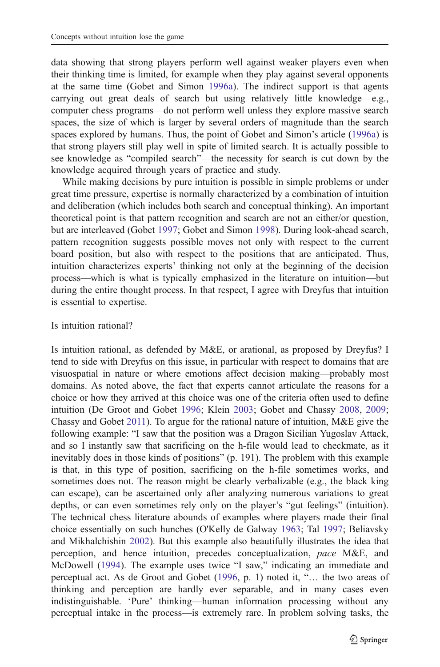data showing that strong players perform well against weaker players even when their thinking time is limited, for example when they play against several opponents at the same time (Gobet and Simon [1996a\)](#page-11-0). The indirect support is that agents carrying out great deals of search but using relatively little knowledge—e.g., computer chess programs—do not perform well unless they explore massive search spaces, the size of which is larger by several orders of magnitude than the search spaces explored by humans. Thus, the point of Gobet and Simon's article [\(1996a\)](#page-11-0) is that strong players still play well in spite of limited search. It is actually possible to see knowledge as "compiled search"—the necessity for search is cut down by the knowledge acquired through years of practice and study.

While making decisions by pure intuition is possible in simple problems or under great time pressure, expertise is normally characterized by a combination of intuition and deliberation (which includes both search and conceptual thinking). An important theoretical point is that pattern recognition and search are not an either/or question, but are interleaved (Gobet [1997](#page-11-0); Gobet and Simon [1998](#page-12-0)). During look-ahead search, pattern recognition suggests possible moves not only with respect to the current board position, but also with respect to the positions that are anticipated. Thus, intuition characterizes experts' thinking not only at the beginning of the decision process—which is what is typically emphasized in the literature on intuition—but during the entire thought process. In that respect, I agree with Dreyfus that intuition is essential to expertise.

### Is intuition rational?

Is intuition rational, as defended by M&E, or arational, as proposed by Dreyfus? I tend to side with Dreyfus on this issue, in particular with respect to domains that are visuospatial in nature or where emotions affect decision making—probably most domains. As noted above, the fact that experts cannot articulate the reasons for a choice or how they arrived at this choice was one of the criteria often used to define intuition (De Groot and Gobet [1996;](#page-11-0) Klein [2003](#page-12-0); Gobet and Chassy [2008](#page-11-0), [2009;](#page-11-0) Chassy and Gobet [2011](#page-11-0)). To argue for the rational nature of intuition, M&E give the following example: "I saw that the position was a Dragon Sicilian Yugoslav Attack, and so I instantly saw that sacrificing on the h-file would lead to checkmate, as it inevitably does in those kinds of positions" (p. 191). The problem with this example is that, in this type of position, sacrificing on the h-file sometimes works, and sometimes does not. The reason might be clearly verbalizable (e.g., the black king can escape), can be ascertained only after analyzing numerous variations to great depths, or can even sometimes rely only on the player's "gut feelings" (intuition). The technical chess literature abounds of examples where players made their final choice essentially on such hunches (O'Kelly de Galway [1963;](#page-12-0) Tal [1997;](#page-12-0) Beliavsky and Mikhalchishin [2002](#page-10-0)). But this example also beautifully illustrates the idea that perception, and hence intuition, precedes conceptualization, pace M&E, and McDowell ([1994\)](#page-12-0). The example uses twice "I saw," indicating an immediate and perceptual act. As de Groot and Gobet [\(1996](#page-11-0), p. 1) noted it, "… the two areas of thinking and perception are hardly ever separable, and in many cases even indistinguishable. 'Pure' thinking—human information processing without any perceptual intake in the process—is extremely rare. In problem solving tasks, the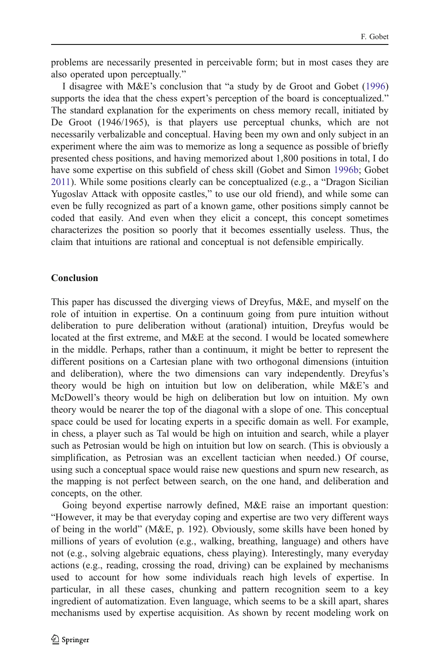problems are necessarily presented in perceivable form; but in most cases they are also operated upon perceptually."

I disagree with M&E's conclusion that "a study by de Groot and Gobet [\(1996](#page-11-0)) supports the idea that the chess expert's perception of the board is conceptualized." The standard explanation for the experiments on chess memory recall, initiated by De Groot (1946/1965), is that players use perceptual chunks, which are not necessarily verbalizable and conceptual. Having been my own and only subject in an experiment where the aim was to memorize as long a sequence as possible of briefly presented chess positions, and having memorized about 1,800 positions in total, I do have some expertise on this subfield of chess skill (Gobet and Simon [1996b](#page-11-0); Gobet [2011\)](#page-11-0). While some positions clearly can be conceptualized (e.g., a "Dragon Sicilian Yugoslav Attack with opposite castles," to use our old friend), and while some can even be fully recognized as part of a known game, other positions simply cannot be coded that easily. And even when they elicit a concept, this concept sometimes characterizes the position so poorly that it becomes essentially useless. Thus, the claim that intuitions are rational and conceptual is not defensible empirically.

### Conclusion

This paper has discussed the diverging views of Dreyfus, M&E, and myself on the role of intuition in expertise. On a continuum going from pure intuition without deliberation to pure deliberation without (arational) intuition, Dreyfus would be located at the first extreme, and M&E at the second. I would be located somewhere in the middle. Perhaps, rather than a continuum, it might be better to represent the different positions on a Cartesian plane with two orthogonal dimensions (intuition and deliberation), where the two dimensions can vary independently. Dreyfus's theory would be high on intuition but low on deliberation, while M&E's and McDowell's theory would be high on deliberation but low on intuition. My own theory would be nearer the top of the diagonal with a slope of one. This conceptual space could be used for locating experts in a specific domain as well. For example, in chess, a player such as Tal would be high on intuition and search, while a player such as Petrosian would be high on intuition but low on search. (This is obviously a simplification, as Petrosian was an excellent tactician when needed.) Of course, using such a conceptual space would raise new questions and spurn new research, as the mapping is not perfect between search, on the one hand, and deliberation and concepts, on the other.

Going beyond expertise narrowly defined, M&E raise an important question: "However, it may be that everyday coping and expertise are two very different ways of being in the world" (M&E, p. 192). Obviously, some skills have been honed by millions of years of evolution (e.g., walking, breathing, language) and others have not (e.g., solving algebraic equations, chess playing). Interestingly, many everyday actions (e.g., reading, crossing the road, driving) can be explained by mechanisms used to account for how some individuals reach high levels of expertise. In particular, in all these cases, chunking and pattern recognition seem to a key ingredient of automatization. Even language, which seems to be a skill apart, shares mechanisms used by expertise acquisition. As shown by recent modeling work on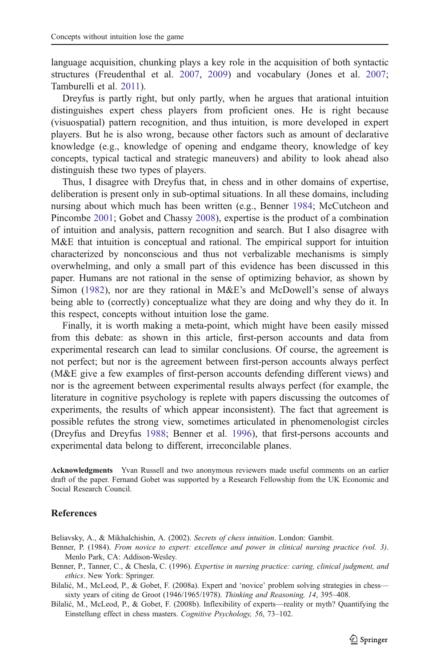<span id="page-10-0"></span>language acquisition, chunking plays a key role in the acquisition of both syntactic structures (Freudenthal et al. [2007](#page-11-0), [2009\)](#page-11-0) and vocabulary (Jones et al. [2007;](#page-12-0) Tamburelli et al. [2011](#page-13-0)).

Dreyfus is partly right, but only partly, when he argues that arational intuition distinguishes expert chess players from proficient ones. He is right because (visuospatial) pattern recognition, and thus intuition, is more developed in expert players. But he is also wrong, because other factors such as amount of declarative knowledge (e.g., knowledge of opening and endgame theory, knowledge of key concepts, typical tactical and strategic maneuvers) and ability to look ahead also distinguish these two types of players.

Thus, I disagree with Dreyfus that, in chess and in other domains of expertise, deliberation is present only in sub-optimal situations. In all these domains, including nursing about which much has been written (e.g., Benner 1984; McCutcheon and Pincombe [2001;](#page-12-0) Gobet and Chassy [2008](#page-11-0)), expertise is the product of a combination of intuition and analysis, pattern recognition and search. But I also disagree with M&E that intuition is conceptual and rational. The empirical support for intuition characterized by nonconscious and thus not verbalizable mechanisms is simply overwhelming, and only a small part of this evidence has been discussed in this paper. Humans are not rational in the sense of optimizing behavior, as shown by Simon ([1982\)](#page-12-0), nor are they rational in M&E's and McDowell's sense of always being able to (correctly) conceptualize what they are doing and why they do it. In this respect, concepts without intuition lose the game.

Finally, it is worth making a meta-point, which might have been easily missed from this debate: as shown in this article, first-person accounts and data from experimental research can lead to similar conclusions. Of course, the agreement is not perfect; but nor is the agreement between first-person accounts always perfect (M&E give a few examples of first-person accounts defending different views) and nor is the agreement between experimental results always perfect (for example, the literature in cognitive psychology is replete with papers discussing the outcomes of experiments, the results of which appear inconsistent). The fact that agreement is possible refutes the strong view, sometimes articulated in phenomenologist circles (Dreyfus and Dreyfus [1988;](#page-11-0) Benner et al. 1996), that first-persons accounts and experimental data belong to different, irreconcilable planes.

Acknowledgments Yvan Russell and two anonymous reviewers made useful comments on an earlier draft of the paper. Fernand Gobet was supported by a Research Fellowship from the UK Economic and Social Research Council.

#### References

Beliavsky, A., & Mikhalchishin, A. (2002). Secrets of chess intuition. London: Gambit.

- Benner, P. (1984). From novice to expert: excellence and power in clinical nursing practice (vol. 3). Menlo Park, CA: Addison-Wesley.
- Benner, P., Tanner, C., & Chesla, C. (1996). Expertise in nursing practice: caring, clinical judgment, and ethics. New York: Springer.
- Bilalić, M., McLeod, P., & Gobet, F. (2008a). Expert and 'novice' problem solving strategies in chess sixty years of citing de Groot (1946/1965/1978). Thinking and Reasoning, 14, 395–408.
- Bilalić, M., McLeod, P., & Gobet, F. (2008b). Inflexibility of experts—reality or myth? Quantifying the Einstellung effect in chess masters. Cognitive Psychology, 56, 73–102.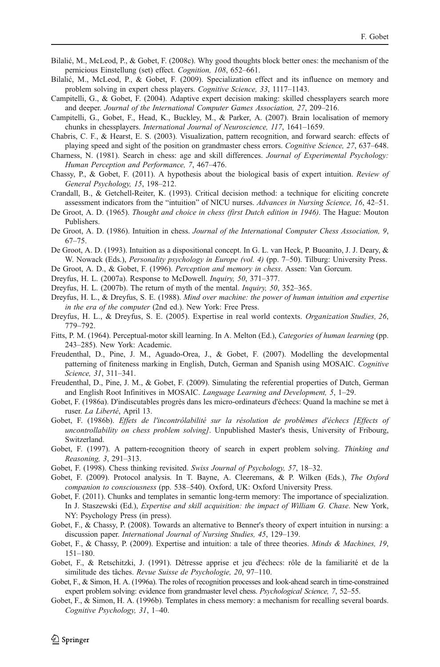- <span id="page-11-0"></span>Bilalić, M., McLeod, P., & Gobet, F. (2008c). Why good thoughts block better ones: the mechanism of the pernicious Einstellung (set) effect. Cognition, 108, 652–661.
- Bilalić, M., McLeod, P., & Gobet, F. (2009). Specialization effect and its influence on memory and problem solving in expert chess players. Cognitive Science, 33, 1117–1143.
- Campitelli, G., & Gobet, F. (2004). Adaptive expert decision making: skilled chessplayers search more and deeper. Journal of the International Computer Games Association, 27, 209–216.
- Campitelli, G., Gobet, F., Head, K., Buckley, M., & Parker, A. (2007). Brain localisation of memory chunks in chessplayers. International Journal of Neuroscience, 117, 1641–1659.
- Chabris, C. F., & Hearst, E. S. (2003). Visualization, pattern recognition, and forward search: effects of playing speed and sight of the position on grandmaster chess errors. Cognitive Science, 27, 637–648.
- Charness, N. (1981). Search in chess: age and skill differences. Journal of Experimental Psychology: Human Perception and Performance, 7, 467–476.
- Chassy, P., & Gobet, F. (2011). A hypothesis about the biological basis of expert intuition. Review of General Psychology, 15, 198–212.
- Crandall, B., & Getchell-Reiter, K. (1993). Critical decision method: a technique for eliciting concrete assessment indicators from the "intuition" of NICU nurses. Advances in Nursing Science, 16, 42–51.
- De Groot, A. D. (1965). Thought and choice in chess (first Dutch edition in 1946). The Hague: Mouton Publishers.
- De Groot, A. D. (1986). Intuition in chess. Journal of the International Computer Chess Association, 9, 67–75.
- De Groot, A. D. (1993). Intuition as a dispositional concept. In G. L. van Heck, P. Buoanito, J. J. Deary, & W. Nowack (Eds.), *Personality psychology in Europe (vol. 4)* (pp. 7–50). Tilburg: University Press.
- De Groot, A. D., & Gobet, F. (1996). Perception and memory in chess. Assen: Van Gorcum.
- Dreyfus, H. L. (2007a). Response to McDowell. Inquiry, 50, 371–377.
- Dreyfus, H. L. (2007b). The return of myth of the mental. Inquiry, 50, 352–365.
- Dreyfus, H. L., & Dreyfus, S. E. (1988). Mind over machine: the power of human intuition and expertise in the era of the computer (2nd ed.). New York: Free Press.
- Dreyfus, H. L., & Dreyfus, S. E. (2005). Expertise in real world contexts. Organization Studies, 26, 779–792.
- Fitts, P. M. (1964). Perceptual-motor skill learning. In A. Melton (Ed.), Categories of human learning (pp. 243–285). New York: Academic.
- Freudenthal, D., Pine, J. M., Aguado-Orea, J., & Gobet, F. (2007). Modelling the developmental patterning of finiteness marking in English, Dutch, German and Spanish using MOSAIC. Cognitive Science, 31, 311–341.
- Freudenthal, D., Pine, J. M., & Gobet, F. (2009). Simulating the referential properties of Dutch, German and English Root Infinitives in MOSAIC. Language Learning and Development, 5, 1–29.
- Gobet, F. (1986a). D'indiscutables progrès dans les micro-ordinateurs d'échecs: Quand la machine se met à ruser. La Liberté, April 13.
- Gobet, F. (1986b). Effets de l'incontrôlabilité sur la résolution de problèmes d'échecs [Effects of uncontrollability on chess problem solving]. Unpublished Master's thesis, University of Fribourg, Switzerland.
- Gobet, F. (1997). A pattern-recognition theory of search in expert problem solving. Thinking and Reasoning, 3, 291–313.
- Gobet, F. (1998). Chess thinking revisited. Swiss Journal of Psychology, 57, 18–32.
- Gobet, F. (2009). Protocol analysis. In T. Bayne, A. Cleeremans, & P. Wilken (Eds.), The Oxford companion to consciousness (pp. 538–540). Oxford, UK: Oxford University Press.
- Gobet, F. (2011). Chunks and templates in semantic long-term memory: The importance of specialization. In J. Staszewski (Ed.), Expertise and skill acquisition: the impact of William G. Chase. New York, NY: Psychology Press (in press).
- Gobet, F., & Chassy, P. (2008). Towards an alternative to Benner's theory of expert intuition in nursing: a discussion paper. International Journal of Nursing Studies, 45, 129–139.
- Gobet, F., & Chassy, P. (2009). Expertise and intuition: a tale of three theories. Minds & Machines, 19, 151–180.
- Gobet, F., & Retschitzki, J. (1991). Détresse apprise et jeu d'échecs: rôle de la familiarité et de la similitude des tâches. Revue Suisse de Psychologie, 20, 97–110.
- Gobet, F., & Simon, H. A. (1996a). The roles of recognition processes and look-ahead search in time-constrained expert problem solving: evidence from grandmaster level chess. Psychological Science, 7, 52–55.
- Gobet, F., & Simon, H. A. (1996b). Templates in chess memory: a mechanism for recalling several boards. Cognitive Psychology, 31, 1–40.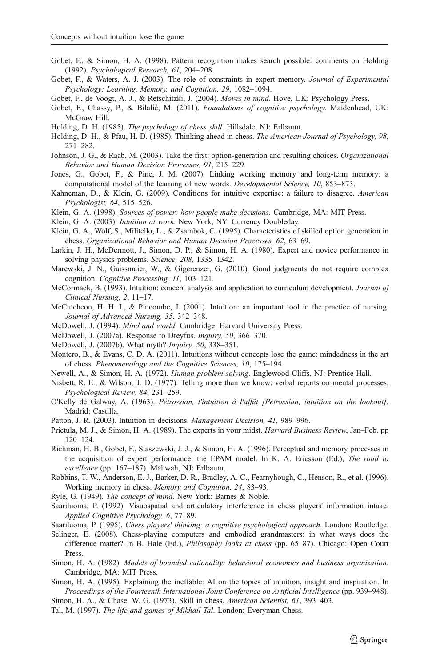- <span id="page-12-0"></span>Gobet, F., & Simon, H. A. (1998). Pattern recognition makes search possible: comments on Holding (1992). Psychological Research, 61, 204–208.
- Gobet, F., & Waters, A. J. (2003). The role of constraints in expert memory. Journal of Experimental Psychology: Learning, Memory, and Cognition, 29, 1082–1094.
- Gobet, F., de Voogt, A. J., & Retschitzki, J. (2004). Moves in mind. Hove, UK: Psychology Press.
- Gobet, F., Chassy, P., & Bilalić, M. (2011). Foundations of cognitive psychology. Maidenhead, UK: McGraw Hill.
- Holding, D. H. (1985). The psychology of chess skill. Hillsdale, NJ: Erlbaum.
- Holding, D. H., & Pfau, H. D. (1985). Thinking ahead in chess. *The American Journal of Psychology*, 98, 271–282.
- Johnson, J. G., & Raab, M. (2003). Take the first: option-generation and resulting choices. Organizational Behavior and Human Decision Processes, 91, 215–229.
- Jones, G., Gobet, F., & Pine, J. M. (2007). Linking working memory and long-term memory: a computational model of the learning of new words. Developmental Science, 10, 853–873.
- Kahneman, D., & Klein, G. (2009). Conditions for intuitive expertise: a failure to disagree. American Psychologist, 64, 515–526.
- Klein, G. A. (1998). Sources of power: how people make decisions. Cambridge, MA: MIT Press.
- Klein, G. A. (2003). Intuition at work. New York, NY: Currency Doubleday.
- Klein, G. A., Wolf, S., Militello, L., & Zsambok, C. (1995). Characteristics of skilled option generation in chess. Organizational Behavior and Human Decision Processes, 62, 63–69.
- Larkin, J. H., McDermott, J., Simon, D. P., & Simon, H. A. (1980). Expert and novice performance in solving physics problems. Science, 208, 1335–1342.
- Marewski, J. N., Gaissmaier, W., & Gigerenzer, G. (2010). Good judgments do not require complex cognition. Cognitive Processing, 11, 103–121.
- McCormack, B. (1993). Intuition: concept analysis and application to curriculum development. *Journal of* Clinical Nursing, 2, 11–17.
- McCutcheon, H. H. I., & Pincombe, J. (2001). Intuition: an important tool in the practice of nursing. Journal of Advanced Nursing, 35, 342–348.
- McDowell, J. (1994). Mind and world. Cambridge: Harvard University Press.
- McDowell, J. (2007a). Response to Dreyfus. Inquiry, 50, 366–370.
- McDowell, J. (2007b). What myth? Inquiry, 50, 338–351.
- Montero, B., & Evans, C. D. A. (2011). Intuitions without concepts lose the game: mindedness in the art of chess. Phenomenology and the Cognitive Sciences, 10, 175–194.
- Newell, A., & Simon, H. A. (1972). Human problem solving. Englewood Cliffs, NJ: Prentice-Hall.
- Nisbett, R. E., & Wilson, T. D. (1977). Telling more than we know: verbal reports on mental processes. Psychological Review, 84, 231–259.
- O'Kelly de Galway, A. (1963). Pétrossian, l'intuition à l'affût [Petrossian, intuition on the lookout]. Madrid: Castilla.
- Patton, J. R. (2003). Intuition in decisions. Management Decision, 41, 989–996.
- Prietula, M. J., & Simon, H. A. (1989). The experts in your midst. *Harvard Business Review*, Jan–Feb. pp 120–124.
- Richman, H. B., Gobet, F., Staszewski, J. J., & Simon, H. A. (1996). Perceptual and memory processes in the acquisition of expert performance: the EPAM model. In K. A. Ericsson (Ed.), The road to excellence (pp. 167–187). Mahwah, NJ: Erlbaum.
- Robbins, T. W., Anderson, E. J., Barker, D. R., Bradley, A. C., Fearnyhough, C., Henson, R., et al. (1996). Working memory in chess. Memory and Cognition, 24, 83–93.
- Ryle, G. (1949). The concept of mind. New York: Barnes & Noble.
- Saariluoma, P. (1992). Visuospatial and articulatory interference in chess players' information intake. Applied Cognitive Psychology, 6, 77–89.

Saariluoma, P. (1995). Chess players' thinking: a cognitive psychological approach. London: Routledge.

- Selinger, E. (2008). Chess-playing computers and embodied grandmasters: in what ways does the difference matter? In B. Hale (Ed.), Philosophy looks at chess (pp. 65–87). Chicago: Open Court Press.
- Simon, H. A. (1982). Models of bounded rationality: behavioral economics and business organization. Cambridge, MA: MIT Press.
- Simon, H. A. (1995). Explaining the ineffable: AI on the topics of intuition, insight and inspiration. In Proceedings of the Fourteenth International Joint Conference on Artificial Intelligence (pp. 939–948).
- Simon, H. A., & Chase, W. G. (1973). Skill in chess. American Scientist, 61, 393–403.
- Tal, M. (1997). The life and games of Mikhail Tal. London: Everyman Chess.